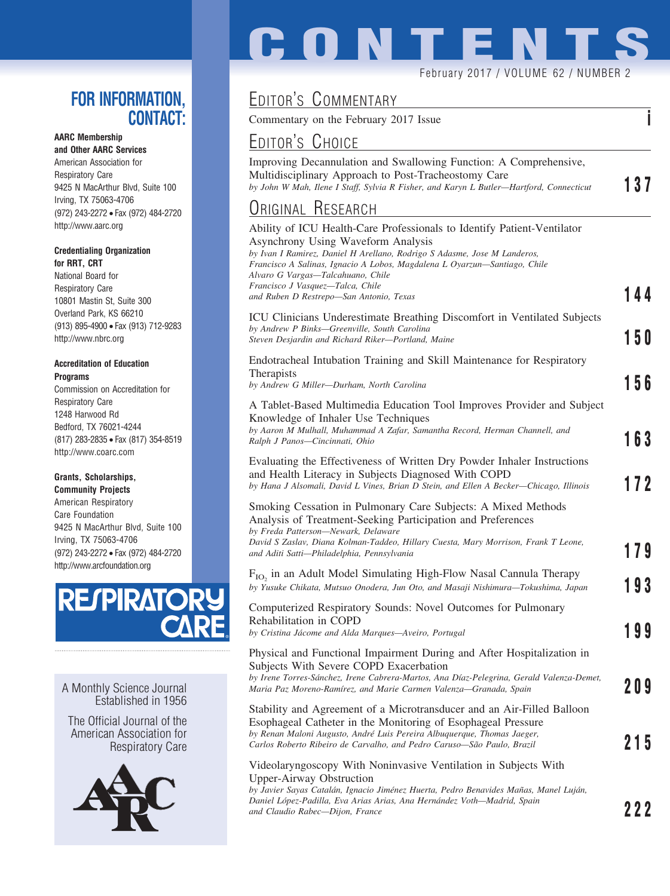## **FOR INFORMATION, CONTACT:**

## **AARC Membership**

**and Other AARC Services** American Association for Respiratory Care 9425 N MacArthur Blvd, Suite 100 Irving, TX 75063-4706 (972) 243-2272 • Fax (972) 484-2720 http://www.aarc.org

### **Credentialing Organization for RRT, CRT**

National Board for Respiratory Care 10801 Mastin St, Suite 300 Overland Park, KS 66210 (913) 895-4900 • Fax (913) 712-9283 http://www.nbrc.org

### **Accreditation of Education Programs**

Commission on Accreditation for Respiratory Care 1248 Harwood Rd Bedford, TX 76021-4244 (817) 283-2835 • Fax (817) 354-8519 http://www.coarc.com

### **Grants, Scholarships,**

**Community Projects** American Respiratory Care Foundation 9425 N MacArthur Blvd, Suite 100 Irving, TX 75063-4706 (972) 243-2272 • Fax (972) 484-2720 http://www.arcfoundation.org



A Monthly Science Journal Established in 1956

The Official Journal of the American Association for Respiratory Care



# **CONTENT**

### February 2017 / VOLUME 62 / NUMBER 2

# EDITOR'S COMMENTARY

Commentary on the February 2017 Issue **i**

## EDITOR'S CHOICE

Improving Decannulation and Swallowing Function: A Comprehensive, Multidisciplinary Approach to Post-Tracheostomy Care *by John W Mah, Ilene I Staff, Sylvia R Fisher, and Karyn L Butler—Hartford, Connecticut* **137**

## ORIGINAL RESEARCH

| . . <b>. .</b>                                                                                                                                                                                                                                                                                                                                                                             |     |
|--------------------------------------------------------------------------------------------------------------------------------------------------------------------------------------------------------------------------------------------------------------------------------------------------------------------------------------------------------------------------------------------|-----|
| Ability of ICU Health-Care Professionals to Identify Patient-Ventilator<br>Asynchrony Using Waveform Analysis<br>by Ivan I Ramirez, Daniel H Arellano, Rodrigo S Adasme, Jose M Landeros,<br>Francisco A Salinas, Ignacio A Lobos, Magdalena L Oyarzun—Santiago, Chile<br>Alvaro G Vargas—Talcahuano, Chile<br>Francisco J Vasquez—Talca, Chile<br>and Ruben D Restrepo-San Antonio, Texas | 144 |
| ICU Clinicians Underestimate Breathing Discomfort in Ventilated Subjects<br>by Andrew P Binks-Greenville, South Carolina<br>Steven Desjardin and Richard Riker-Portland, Maine                                                                                                                                                                                                             | 150 |
| Endotracheal Intubation Training and Skill Maintenance for Respiratory<br><b>Therapists</b><br>by Andrew G Miller-Durham, North Carolina                                                                                                                                                                                                                                                   | 156 |
| A Tablet-Based Multimedia Education Tool Improves Provider and Subject<br>Knowledge of Inhaler Use Techniques<br>by Aaron M Mulhall, Muhammad A Zafar, Samantha Record, Herman Channell, and<br>Ralph J Panos-Cincinnati, Ohio                                                                                                                                                             | 163 |
| Evaluating the Effectiveness of Written Dry Powder Inhaler Instructions<br>and Health Literacy in Subjects Diagnosed With COPD<br>by Hana J Alsomali, David L Vines, Brian D Stein, and Ellen A Becker—Chicago, Illinois                                                                                                                                                                   | 172 |
| Smoking Cessation in Pulmonary Care Subjects: A Mixed Methods<br>Analysis of Treatment-Seeking Participation and Preferences<br>by Freda Patterson-Newark, Delaware<br>David S Zaslav, Diana Kolman-Taddeo, Hillary Cuesta, Mary Morrison, Frank T Leone,<br>and Aditi Satti-Philadelphia, Pennsylvania                                                                                    | 179 |
| $F_{IO}$ in an Adult Model Simulating High-Flow Nasal Cannula Therapy<br>by Yusuke Chikata, Mutsuo Onodera, Jun Oto, and Masaji Nishimura-Tokushima, Japan                                                                                                                                                                                                                                 | 93  |
| Computerized Respiratory Sounds: Novel Outcomes for Pulmonary<br>Rehabilitation in COPD<br>by Cristina Jácome and Alda Marques-Aveiro, Portugal                                                                                                                                                                                                                                            | 99  |
| Physical and Functional Impairment During and After Hospitalization in<br>Subjects With Severe COPD Exacerbation<br>by Irene Torres-Sánchez, Irene Cabrera-Martos, Ana Díaz-Pelegrina, Gerald Valenza-Demet,<br>Maria Paz Moreno-Ramírez, and Marie Carmen Valenza-Granada, Spain                                                                                                          | 209 |
| Stability and Agreement of a Microtransducer and an Air-Filled Balloon<br>Esophageal Catheter in the Monitoring of Esophageal Pressure<br>by Renan Maloni Augusto, André Luis Pereira Albuquerque, Thomas Jaeger,<br>Carlos Roberto Ribeiro de Carvalho, and Pedro Caruso-São Paulo, Brazil                                                                                                | 215 |
| Videolaryngoscopy With Noninvasive Ventilation in Subjects With<br><b>Upper-Airway Obstruction</b>                                                                                                                                                                                                                                                                                         |     |

*by Javier Sayas Catala´n, Ignacio Jime´nez Huerta, Pedro Benavides Man˜as, Manel Luja´n, Daniel Lo´pez-Padilla, Eva Arias Arias, Ana Herna´ndez Voth—Madrid, Spain and Claudio Rabec—Dijon, France* **222**